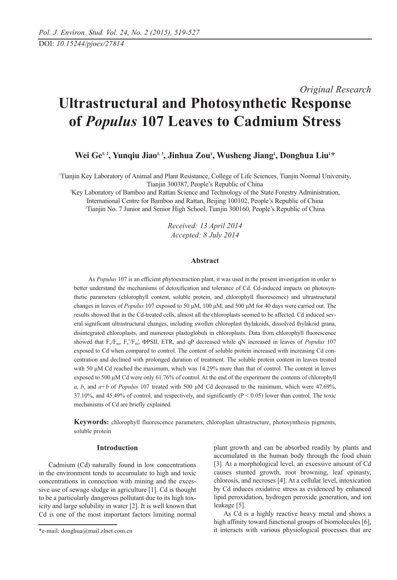# *Original Research* **Ultrastructural and Photosynthetic Response of** *Populus* **107 Leaves to Cadmium Stress**

Wei Ge<sup>1,2</sup>, Yunqiu Jiao<sup>1,3</sup>, Jinhua Zou<sup>1</sup>, Wusheng Jiang<sup>1</sup>, Donghua Liu<sup>1\*</sup>

1 Tianjin Key Laboratory of Animal and Plant Resistance, College of Life Sciences, Tianjin Normal University, Tianjin 300387, People's Republic of China

2 Key Laboratory of Bamboo and Rattan Science and Technology of the State Forestry Administration, International Centre for Bamboo and Rattan, Beijing 100102, People's Republic of China 3 Tianjin No. 7 Junior and Senior High School, Tianjin 300160, People's Republic of China

> *Received: 13 April 2014 Accepted: 8 July 2014*

#### **Abstract**

As *Populus* 107 is an efficient phytoextraction plant, it was used in the present investigation in order to better understand the mechanisms of detoxification and tolerance of Cd. Cd-induced impacts on photosynthetic parameters (chlorophyll content, soluble protein, and chlorophyll fluorescence) and ultrastructural changes in leaves of *Populus* 107 exposed to 50 μM, 100 μM, and 500 μM for 40 days were carried out. The results showed that in the Cd-treated cells, almost all the chloroplasts seemed to be affected. Cd induced several significant ultrastructural changes, including swollen chloroplast thylakoids, dissolved thylakoid grana, disintegrated chloroplasts, and numerous plastoglobuli in chloroplasts. Data from chlorophyll fluorescence showed that  $F_v/F_m$ ,  $F_v/F_m$ ,  $\Phi$ PSII, ETR, and qP decreased while qN increased in leaves of *Populus* 107 exposed to Cd when compared to control. The content of soluble protein increased with increasing Cd concentration and declined with prolonged duration of treatment. The soluble protein content in leaves treated with 50 μM Cd reached the maximum, which was 14.29% more than that of control. The content in leaves exposed to 500 μM Cd were only 61.76% of control. At the end of the experiment the contents of chlorophyll *a*, *b*, and *a+b* of *Populus* 107 treated with 500 μM Cd decreased to the minimum, which were 47.69%, 37.10%, and 45.49% of control, and respectively, and significantly  $(P < 0.05)$  lower than control. The toxic mechanisms of Cd are briefly explained.

**Keywords:** chlorophyll fluorescence parameters, chloroplast ultrastructure, photosynthesis pigments, soluble protein

## **Introduction**

Cadmium (Cd) naturally found in low concentrations in the environment tends to accumulate to high and toxic concentrations in connection with mining and the excessive use of sewage sludge in agriculture [1]. Cd is thought to be a particularly dangerous pollutant due to its high toxicity and large solubility in water [2]. It is well known that Cd is one of the most important factors limiting normal

plant growth and can be absorbed readily by plants and accumulated in the human body through the food chain [3]. At a morphological level, an excessive amount of Cd causes stunted growth, root browning, leaf epinasty, chlorosis, and necroses [4]. At a cellular level, intoxication by Cd induces oxidative stress as evidenced by enhanced lipid peroxidation, hydrogen peroxide generation, and ion leakage [5].

As Cd is a highly reactive heavy metal and shows a high affinity toward functional groups of biomolecules [6], it interacts with various physiological processes that are

<sup>\*</sup>e-mail: donghua@mail.zlnet.com.cn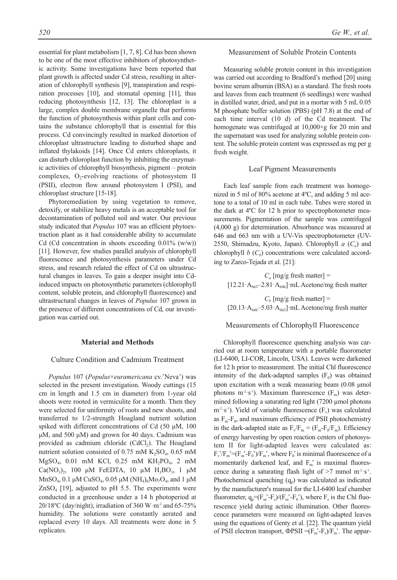essential for plant metabolism [1, 7, 8]. Cd has been shown to be one of the most effective inhibitors of photosynthetic activity. Some investigations have been reported that plant growth is affected under Cd stress, resulting in alteration of chlorophyll synthesis [9], transpiration and respiration processes [10], and stomatal opening [11], thus reducing photosynthesis [12, 13]. The chloroplast is a large, complex double membrane organelle that performs the function of photosynthesis within plant cells and contains the substance chlorophyll that is essential for this process. Cd convincingly resulted in marked distortion of chloroplast ultrastructure leading to disturbed shape and inflated thylakoids [14]. Once Cd enters chloroplasts, it can disturb chloroplast function by inhibiting the enzymatic activities of chlorophyll biosynthesis, pigment – protein complexes,  $O_2$ -evolving reactions of photosystem II (PSII), electron flow around photosystem I (PSI), and chloroplast structure [15-18].

Phytoremediation by using vegetation to remove, detoxify, or stabilize heavy metals is an acceptable tool for decontamination of polluted soil and water. Our previous study indicated that *Populus* 107 was an efficient phytoextraction plant as it had considerable ability to accumulate Cd (Cd concentration in shoots exceeding  $0.01\%$  (w/w)) [11]. However, few studies parallel analysis of chlorophyll fluorescence and photosynthesis parameters under Cd stress, and research related the effect of Cd on ultrastructural changes in leaves. To gain a deeper insight into Cdinduced impacts on photosynthetic parameters (chlorophyll content, soluble protein, and chlorophyll fluorescence) and ultrastructural changes in leaves of *Populus* 107 grown in the presence of different concentrations of Cd, our investigation was carried out.

# **Material and Methods**

# Culture Condition and Cadmium Treatment

*Populus* 107 (*Populus*×*euramericana* cv.'Neva') was selected in the present investigation. Woody cuttings (15 cm in length and 1.5 cm in diameter) from 1-year old shoots were rooted in vermiculite for a month. Then they were selected for uniformity of roots and new shoots, and transferred to 1/2-strength Hoagland nutrient solution spiked with different concentrations of Cd (50 μM, 100 μM, and 500 μM) and grown for 40 days. Cadmium was provided as cadmium chloride  $(CdCl<sub>2</sub>)$ . The Hoagland nutrient solution consisted of 0.75 mM  $K_2SO_4$ , 0.65 mM  $MgSO_4$ , 0.01 mM KCl, 0.25 mM KH<sub>2</sub>PO<sub>4</sub>, 2 mM Ca(NO<sub>3</sub>)<sub>2</sub>, 100 μM FeEDTA, 10 μM H<sub>3</sub>BO<sub>3</sub>, 1 μM  $MnSO_4$ , 0.1 μM CuSO<sub>4</sub>, 0.05 μM (NH<sub>4</sub>)<sub>6</sub>Mo<sub>7</sub>O<sub>4</sub>, and 1 μM  $ZnSO<sub>4</sub>$  [19], adjusted to pH 5.5. The experiments were conducted in a greenhouse under a 14 h photoperiod at  $20/18$ <sup>o</sup>C (day/night), irradiation of 360 W·m<sup>-2</sup> and 65-75% humidity. The solutions were constantly aerated and replaced every 10 days. All treatments were done in 5 replicates.

# Measurement of Soluble Protein Contents

Measuring soluble protein content in this investigation was carried out according to Bradford's method [20] using bovine serum albumin (BSA) as a standard. The fresh roots and leaves from each treatment (6 seedlings) were washed in distilled water, dried, and put in a mortar with 5 mL 0.05 M phosphate buffer solution (PBS) (pH 7.8) at the end of each time interval (10 d) of the Cd treatment. The homogenate was centrifuged at  $10,000 \times g$  for 20 min and the supernatant was used for analyzing soluble protein content. The soluble protein content was expressed as mg per g fresh weight.

#### Leaf Pigment Measurements

Each leaf sample from each treatment was homogenized in 5 ml of 80% acetone at 4ºC, and adding 5 ml acetone to a total of 10 ml in each tube. Tubes were stored in the dark at 4ºC for 12 h prior to spectrophotometer measurements. Pigmentation of the sample was centrifuged (4,000 g) for determination. Absorbance was measured at 646 and 663 nm with a UV-Vis spectrophotometer (UV-2550, Shimadzu, Kyoto, Japan). Chlorophyll  $a(C_a)$  and chlorophyll  $b$  ( $C<sub>b</sub>$ ) concentrations were calculated according to Zarco-Tejada et al. [21]:

 $C_a$  [mg/g fresh matter] =  $[12.21 \cdot A_{663} - 2.81 \cdot A_{646}]$ ·mL Acetone/mg fresh matter

 $C_b$  [mg/g fresh matter] =  $[20.13\cdot A_{646}-5.03\cdot A_{663}]$  <sup>.</sup>mL Acetone/mg fresh matter

# Measurements of Chlorophyll Fluorescence

Chlorophyll fluorescence quenching analysis was carried out at room temperature with a portable fluorometer (LI-6400, LI-COR, Lincoln, USA). Leaves were darkened for 12 h prior to measurement. The initial Chl fluorescence intensity of the dark-adapted samples  $(F_0)$  was obtained upon excitation with a weak measuring beam (0.08 μmol photons m<sup>-2</sup>·s<sup>-1</sup>). Maximum fluorescence ( $F_m$ ) was determined following a saturating red light (7200 µmol photons  $m^2$ ·s<sup>-1</sup>). Yield of variable fluorescence (F<sub>v</sub>) was calculated as  $F_m-F_0$ , and maximum efficiency of PSII photochemistry in the dark-adapted state as  $F_v/F_m = (F_m-F_0/F_m)$ . Efficiency of energy harvesting by open reaction centers of photosystem II for light-adapted leaves were calculated as:  $F_v/F_m = (F_m - F_0)/F_m$ , where  $F_0$  is minimal fluorescence of a momentarily darkened leaf, and  $F_m$ ' is maximal fluorescence during a saturating flash light of  $>7$  mmol m<sup>-2</sup>·s<sup>-1</sup>. Photochemical quenching  $(q_n)$  was calculated as indicated by the manufacturer's manual for the LI-6400 leaf chamber fluorometer,  $q_p = (F_m' - F_s)/(F_m' - F_0')$ , where  $F_s$  is the Chl fluorescence yield during actinic illumination. Other fluorescence parameters were measured on light-adapted leaves using the equations of Genty et al. [22]. The quantum yield of PSII electron transport,  $\Phi$ PSII =( $F_m$ '- $F_s$ )/ $F_m$ '. The appar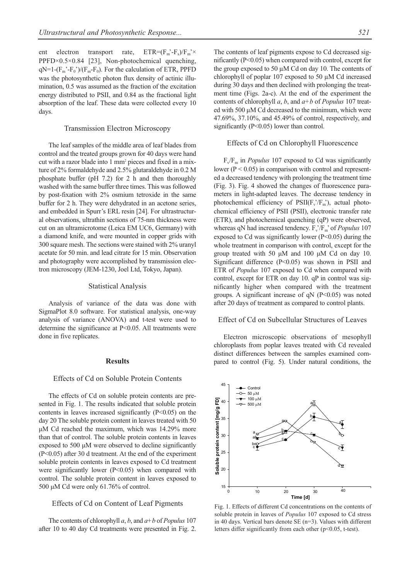ent electron transport rate,  $ETR=(F_m-F_s)/F_m \times$ PPFD×0.5×0.84 [23], Non-photochemical quenching,  $qN=1-(F_m'-F_0')/(F_m-F_0)$ . For the calculation of ETR, PPFD was the photosynthetic photon flux density of actinic illumination, 0.5 was assumed as the fraction of the excitation energy distributed to PSII, and 0.84 as the fractional light absorption of the leaf. These data were collected every 10 days.

### Transmission Electron Microscopy

The leaf samples of the middle area of leaf blades from control and the treated groups grown for 40 days were hand cut with a razor blade into 1 mm<sup>2</sup> pieces and fixed in a mixture of 2% formaldehyde and 2.5% glutaraldehyde in 0.2 M phosphate buffer (pH 7.2) for 2 h and then thoroughly washed with the same buffer three times. This was followed by post-fixation with 2% osmium tetroxide in the same buffer for 2 h. They were dehydrated in an acetone series, and embedded in Spurr's ERL resin [24]. For ultrastructural observations, ultrathin sections of 75-nm thickness were cut on an ultramicrotome (Leica EM UC6, Germany) with a diamond knife, and were mounted in copper grids with 300 square mesh. The sections were stained with 2% uranyl acetate for 50 min. and lead citrate for 15 min. Observation and photography were accomplished by transmission electron microscopy (JEM-1230, Joel Ltd, Tokyo, Japan).

#### Statistical Analysis

Analysis of variance of the data was done with SigmaPlot 8.0 software. For statistical analysis, one-way analysis of variance (ANOVA) and t-test were used to determine the significance at P<0.05. All treatments were done in five replicates.

#### **Results**

#### Effects of Cd on Soluble Protein Contents

The effects of Cd on soluble protein contents are presented in Fig. 1. The results indicated that soluble protein contents in leaves increased significantly (P<0.05) on the day 20 The soluble protein content in leaves treated with 50 μM Cd reached the maximum, which was 14.29% more than that of control. The soluble protein contents in leaves exposed to 500 μM were observed to decline significantly (P<0.05) after 30 d treatment. At the end of the experiment soluble protein contents in leaves exposed to Cd treatment were significantly lower (P<0.05) when compared with control. The soluble protein content in leaves exposed to 500 μM Cd were only 61.76% of control.

#### Effects of Cd on Content of Leaf Pigments

The contents of chlorophyll *a*, *b*, and *a+b* of *Populus* 107 after 10 to 40 day Cd treatments were presented in Fig. 2. The contents of leaf pigments expose to Cd decreased significantly (P<0.05) when compared with control, except for the group exposed to 50  $\mu$ M Cd on day 10. The contents of chlorophyll of poplar 107 exposed to 50 µM Cd increased during 30 days and then declined with prolonging the treatment time (Figs. 2a-c). At the end of the experiment the contents of chlorophyll *a*, *b*, and *a+b* of *Populus* 107 treated with 500 μM Cd decreased to the minimum, which were 47.69%, 37.10%, and 45.49% of control, respectively, and significantly (P<0.05) lower than control.

# Effects of Cd on Chlorophyll Fluorescence

 $F_v/F_m$  in *Populus* 107 exposed to Cd was significantly lower ( $P < 0.05$ ) in comparison with control and represented a decreased tendency with prolonging the treatment time (Fig. 3). Fig. 4 showed the changes of fluorescence parameters in light-adapted leaves. The decrease tendency in photochemical efficiency of  $PSII(F_v/F_m)$ , actual photochemical efficiency of PSII (PSII), electronic transfer rate (ETR), and photochemical quenching (qP) were observed, whereas qN had increased tendency.  $F_v/F_m$  of *Populus* 107 exposed to Cd was significantly lower  $(P<0.05)$  during the whole treatment in comparison with control, except for the group treated with 50 μM and 100 μM Cd on day 10. Significant difference (P<0.05) was shown in PSII and ETR of *Populus* 107 exposed to Cd when compared with control, except for ETR on day 10. qP in control was significantly higher when compared with the treatment groups. A significant increase of  $qN$  (P<0.05) was noted after 20 days of treatment as compared to control plants.

# Effect of Cd on Subcellular Structures of Leaves

Electron microscopic observations of mesophyll chloroplasts from poplar leaves treated with Cd revealed distinct differences between the samples examined compared to control (Fig. 5). Under natural conditions, the



Fig. 1. Effects of different Cd concentrations on the contents of soluble protein in leaves of *Populus* 107 exposed to Cd stress in 40 days. Vertical bars denote SE (n=3). Values with different letters differ significantly from each other (p<0.05, t-test).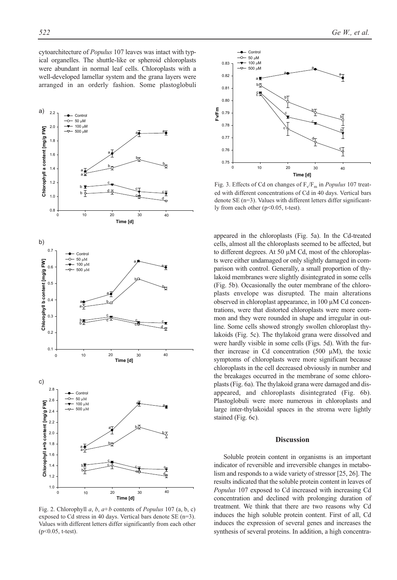cytoarchitecture of *Populus* 107 leaves was intact with typical organelles. The shuttle-like or spheroid chloroplasts were abundant in normal leaf cells. Chloroplasts with a well-developed lamellar system and the grana layers were arranged in an orderly fashion. Some plastoglobuli



Fig. 2. Chlorophyll *a*, *b*, *a+b* contents of *Populus* 107 (a, b, c) exposed to Cd stress in 40 days. Vertical bars denote SE (n=3). Values with different letters differ significantly from each other (p<0.05, t-test).



Fig. 3. Effects of Cd on changes of  $F_v/F_m$  in *Populus* 107 treated with different concentrations of Cd in 40 days. Vertical bars denote SE (n=3). Values with different letters differ significantly from each other (p<0.05, t-test).

appeared in the chloroplasts (Fig. 5a). In the Cd-treated cells, almost all the chloroplasts seemed to be affected, but to different degrees. At 50 µM Cd, most of the chloroplasts were either undamaged or only slightly damaged in comparison with control. Generally, a small proportion of thylakoid membranes were slightly disintegrated in some cells (Fig. 5b). Occasionally the outer membrane of the chloroplasts envelope was disrupted. The main alterations observed in chloroplast appearance, in 100 µM Cd concentrations, were that distorted chloroplasts were more common and they were rounded in shape and irregular in outline. Some cells showed strongly swollen chloroplast thylakoids (Fig. 5c). The thylakoid grana were dissolved and were hardly visible in some cells (Figs. 5d). With the further increase in Cd concentration  $(500 \mu M)$ , the toxic symptoms of chloroplasts were more significant because chloroplasts in the cell decreased obviously in number and the breakages occurred in the membrane of some chloroplasts (Fig. 6a). The thylakoid grana were damaged and disappeared, and chloroplasts disintegrated (Fig. 6b). Plastoglobuli were more numerous in chloroplasts and large inter-thylakoidal spaces in the stroma were lightly stained (Fig. 6c).

#### **Discussion**

Soluble protein content in organisms is an important indicator of reversible and irreversible changes in metabolism and responds to a wide variety of stressor [25, 26]. The results indicated that the soluble protein content in leaves of *Populus* 107 exposed to Cd increased with increasing Cd concentration and declined with prolonging duration of treatment. We think that there are two reasons why Cd induces the high soluble protein content. First of all, Cd induces the expression of several genes and increases the synthesis of several proteins. In addition, a high concentra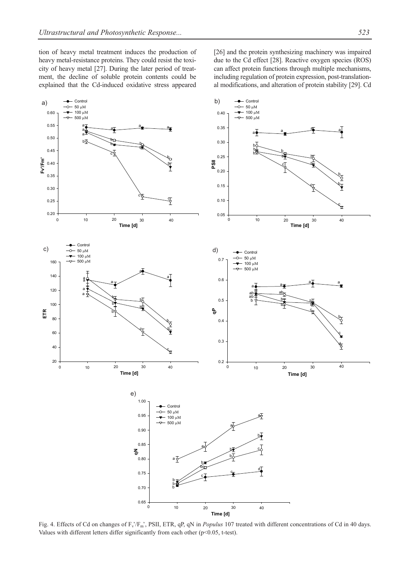tion of heavy metal treatment induces the production of heavy metal-resistance proteins. They could resist the toxicity of heavy metal [27]. During the later period of treatment, the decline of soluble protein contents could be explained that the Cd-induced oxidative stress appeared

[26] and the protein synthesizing machinery was impaired due to the Cd effect [28]. Reactive oxygen species (ROS) can affect protein functions through multiple mechanisms, including regulation of protein expression, post-translational modifications, and alteration of protein stability [29]. Cd



Fig. 4. Effects of Cd on changes of F<sub>v</sub>/F<sub>m</sub>', PSII, ETR, qP, qN in *Populus* 107 treated with different concentrations of Cd in 40 days. Values with different letters differ significantly from each other  $(p<0.05, t-test)$ .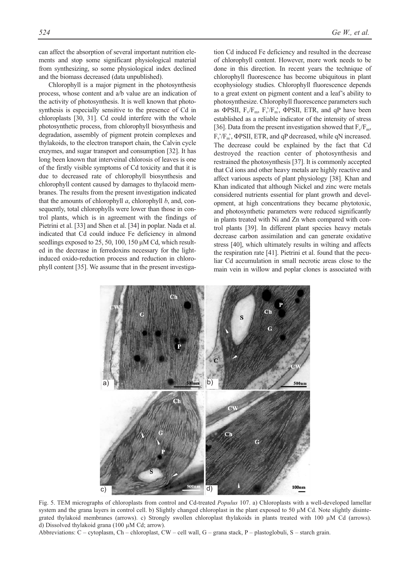can affect the absorption of several important nutrition elements and stop some significant physiological material from synthesizing, so some physiological index declined and the biomass decreased (data unpublished).

Chlorophyll is a major pigment in the photosynthesis process, whose content and a/b value are an indication of the activity of photosynthesis. It is well known that photosynthesis is especially sensitive to the presence of Cd in chloroplasts [30, 31]. Cd could interfere with the whole photosynthetic process, from chlorophyll biosynthesis and degradation, assembly of pigment protein complexes and thylakoids, to the electron transport chain, the Calvin cycle enzymes, and sugar transport and consumption [32]. It has long been known that interveinal chlorosis of leaves is one of the firstly visible symptoms of Cd toxicity and that it is due to decreased rate of chlorophyll biosynthesis and chlorophyll content caused by damages to thylacoid membranes. The results from the present investigation indicated that the amounts of chlorophyll *a*, chlorophyll *b*, and, consequently, total chlorophylls were lower than those in control plants, which is in agreement with the findings of Pietrini et al. [33] and Shen et al. [34] in poplar. Nada et al. indicated that Cd could induce Fe deficiency in almond seedlings exposed to 25, 50, 100, 150 μM Cd, which resulted in the decrease in ferredoxins necessary for the lightinduced oxido-reduction process and reduction in chlorophyll content [35]. We assume that in the present investigation Cd induced Fe deficiency and resulted in the decrease of chlorophyll content. However, more work needs to be done in this direction. In recent years the technique of chlorophyll fluorescence has become ubiquitous in plant ecophysiology studies. Chlorophyll fluorescence depends to a great extent on pigment content and a leaf's ability to photosynthesize. Chlorophyll fluorescence parameters such as ΦPSII,  $F_v/F_m$ ,  $F_v/F_m$ , ΦPSII, ETR, and qP have been established as a reliable indicator of the intensity of stress [36]. Data from the present investigation showed that  $F_v/F_m$ ,  $F_v/F_m$ , ΦPSII, ETR, and qP decreased, while qN increased. The decrease could be explained by the fact that Cd destroyed the reaction center of photosynthesis and restrained the photosynthesis [37]. It is commonly accepted that Cd ions and other heavy metals are highly reactive and affect various aspects of plant physiology [38]. Khan and Khan indicated that although Nickel and zinc were metals considered nutrients essential for plant growth and development, at high concentrations they became phytotoxic, and photosynthetic parameters were reduced significantly in plants treated with Ni and Zn when compared with control plants [39]. In different plant species heavy metals decrease carbon assimilation and can generate oxidative stress [40], which ultimately results in wilting and affects the respiration rate [41]. Pietrini et al. found that the peculiar Cd accumulation in small necrotic areas close to the main vein in willow and poplar clones is associated with



Fig. 5. TEM micrographs of chloroplasts from control and Cd-treated *Populus* 107. a) Chloroplasts with a well-developed lamellar system and the grana layers in control cell. b) Slightly changed chloroplast in the plant exposed to 50 µM Cd. Note slightly disintegrated thylakoid membranes (arrows). c) Strongly swollen chloroplast thylakoids in plants treated with 100 µM Cd (arrows). d) Dissolved thylakoid grana (100 µM Cd; arrow).

Abbreviations: C – cytoplasm, Ch – chloroplast, CW – cell wall, G – grana stack, P – plastoglobuli, S – starch grain.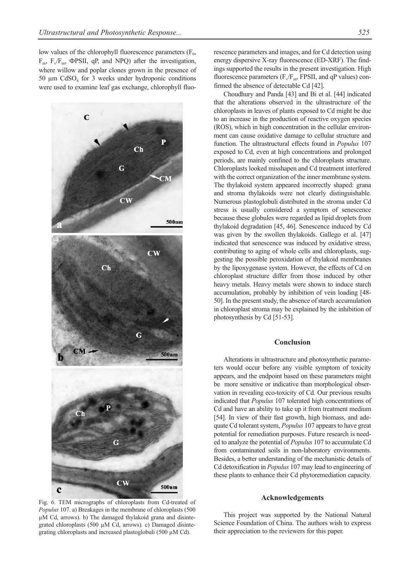low values of the chlorophyll fluorescence parameters  $(F_0,$  $F_m$ ,  $F_v/F_m$ ,  $\Phi$ PSII, qP, and NPQ) after the investigation, where willow and poplar clones grown in the presence of 50  $\mu$ m CdSO<sub>4</sub> for 3 weeks under hydroponic conditions were used to examine leaf gas exchange, chlorophyll fluo-



Fig. 6. TEM micrographs of chloroplasts from Cd-treated of *Populus* 107. a) Breakages in the membrane of chloroplasts (500 µM Cd, arrows). b) The damaged thylakoid grana and disintegrated chloroplasts (500 µM Cd, arrows). c) Damaged disintegrating chloroplasts and increased plastoglobuli (500 µM Cd).

rescence parameters and images, and for Cd detection using energy dispersive X-ray fluorescence (ED-XRF). The findings supported the results in the present investigation. High fluorescence parameters  $(F_v/F_m, FPSII,$  and qP values) confirmed the absence of detectable Cd [42].

Choudhury and Panda [43] and Bi et al. [44] indicated that the alterations observed in the ultrastructure of the chloroplasts in leaves of plants exposed to Cd might be due to an increase in the production of reactive oxygen species (ROS), which in high concentration in the cellular environment can cause oxidative damage to cellular structure and function. The ultrastructural effects found in *Populus* 107 exposed to Cd, even at high concentrations and prolonged periods, are mainly confined to the chloroplasts structure. Chloroplasts looked misshapen and Cd treatment interfered with the correct organization of the inner membrane system. The thylakoid system appeared incorrectly shaped: grana and stroma thylakoids were not clearly distinguishable. Numerous plastoglobuli distributed in the stroma under Cd stress is usually considered a symptom of senescence because these globules were regarded as lipid droplets from thylakoid degradation [45, 46]. Senescence induced by Cd was given by the swollen thylakoids. Gallego et al. [47] indicated that senescence was induced by oxidative stress, contributing to aging of whole cells and chloroplasts, suggesting the possible peroxidation of thylakoid membranes by the lipoxygenase system. However, the effects of Cd on chloroplast structure differ from those induced by other heavy metals. Heavy metals were shown to induce starch accumulation, probably by inhibition of vein loading [48- 50]. In the present study, the absence of starch accumulation in chloroplast stroma may be explained by the inhibition of photosynthesis by Cd [51-53].

# **Conclusion**

Alterations in ultrastructure and photosynthetic parameters would occur before any visible symptom of toxicity appears, and the endpoint based on these parameters might be more sensitive or indicative than morphological observation in revealing eco-toxicity of Cd. Our previous results indicated that *Populus* 107 tolerated high concentrations of Cd and have an ability to take up it from treatment medium [54]. In view of their fast growth, high biomass, and adequate Cd tolerant system, *Populus* 107 appears to have great potential for remediation purposes. Future research is needed to analyze the potential of *Populus* 107 to accumulate Cd from contaminated soils in non-laboratory environments. Besides, a better understanding of the mechanistic details of Cd detoxification in *Populus* 107 may lead to engineering of these plants to enhance their Cd phytoremediation capacity.

## **Acknowledgements**

This project was supported by the National Natural Science Foundation of China. The authors wish to express their appreciation to the reviewers for this paper.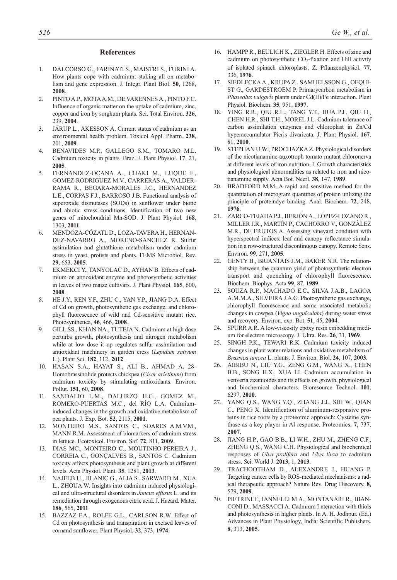#### **References**

- 1. DALCORSO G., FARINATI S., MAISTRI S., FURINI A. How plants cope with cadmium: staking all on metabolism and gene expression. J. Integr. Plant Biol. **50**, 1268, **2008**.
- 2. PINTO A.P., MOTA A.M., DE VARENNES A., PINTO F.C. Influence of organic matter on the uptake of cadmium, zinc, copper and iron by sorghum plants. Sci. Total Environ. **326**, 239, **2004**.
- 3. JÄRUP L., ÅKESSON A. Current status of cadmium as an environmental health problem. Toxicol Appl. Pharm. **238**, 201, **2009**.
- 4. BENAVIDES M.P., GALLEGO S.M., TOMARO M.L. Cadmium toxicity in plants. Braz. J. Plant Physiol. **17**, 21, **2005**.
- 5. FERNANDEZ-OCANA A., CHAKI M., LUQUE F., GOMEZ-RODRIGUEZ M.V., CARRERAS A., VALDER-RAMA R., BEGARA-MORALES J.C., HERNANDEZ L.E., CORPAS F.J., BARROSO J.B. Functional analysis of superoxide dismutases (SODs) in sunflower under biotic and abiotic stress conditions. Identification of two new genes of mitochondrial Mn-SOD. J. Plant Physiol. **168**, 1303, **2011**.
- 6. MENDOZA-CÓZATL D., LOZA-TAVERA H., HERNAN-DEZ-NAVARRO A., MORENO-SANCHEZ R. Sulfur assimilation and glutathione metabolism under cadmium stress in yeast, protists and plants. FEMS Microbiol. Rev. **29**, 653, **2005**.
- 7. EKMEKCI Y., TANYOLAC D., AYHAN B. Effects of cadmium on antioxidant enzyme and photosynthetic activities in leaves of two maize cultivars. J. Plant Physiol. **165**, 600, **2008**.
- 8. HE J.Y., REN Y.F., ZHU C., YAN Y.P., JIANG D.A. Effect of Cd on growth, photosynthetic gas exchange, and chlorophyll fluorescence of wild and Cd-sensitive mutant rice. Photosynthetica, **46**, 466, **2008**.
- 9. GILL SS., KHAN NA., TUTEJA N. Cadmium at high dose perturbs growth, photosynthesis and nitrogen metabolism while at low dose it up regulates sulfur assimilation and antioxidant machinery in garden cress (*Lepidum sativum* L.). Plant Sci. **182**, 112, **2012**.
- 10. HASAN S.A., HAYAT S., ALI B., AHMAD A. 28- Homobrassinolide protects chickpea (*Cicer arietinum*) from cadmium toxicity by stimulating antioxidants. Environ. Pollut. **151**, 60, **2008**.
- 11. SANDALIO L.M., DALURZO H.C., GOMEZ M., ROMERO-PUERTAS M.C., del RÍO L.A. Cadmiuminduced changes in the growth and oxidative metabolism of pea plants. J. Exp. Bot. **52**, 2115, **2001**.
- 12. MONTEIRO M.S., SANTOS C., SOARES A.M.V.M., MANN R.M. Assessment of biomarkers of cadmium stress in lettuce. Ecotoxicol. Environ. Saf. **72**, 811, **2009**.
- 13. DIAS MC., MONTEIRO C., MOUTINHO-PEREIRA J., CORREIA C., GONÇALVES B., SANTOS C. Cadmium toxicity affects photosynthesis and plant growth at different levels. Acta Physiol. Plant. **35**, 1281, **2013**.
- 14. NAJEEB U., JILANIC G., ALIA S., SARWARD M., XUA L., ZHOUA W. Insights into cadmium induced physiological and ultra-structural disorders in *Juncus effusus* L. and its remediation through exogenous citric acid. J. Hazard. Mater. **186**, 565, **2011**.
- 15. BAZZAZ F.A., ROLFE G.L., CARLSON R.W. Effect of Cd on photosynthesis and transpiration in excised leaves of cornand sunflower. Plant Physiol. **32**, 373, **1974**.
- 16. HAMPP R., BEULICH K., ZIEGLER H. Effects of zinc and cadmium on photosynthetic  $CO_2$ -fixation and Hill activity of isolated spinach chloroplasts. Z. Pflanzenphysiol. **77**, 336, **1976**.
- 17. SIEDLECKA A., KRUPA Z., SAMUELSSON G., OEQUI-ST G., GARDESTROEM P. Primarycarbon metabolism in *Phaseolus vulgaris* plants under Cd(II)/Fe interaction. Plant Physiol. Biochem. **35**, 951, **1997**.
- 18. YING R.R., QIU R.L., TANG Y.T., HUA P.J., QIU H., CHEN H.R., SHI T.H., MOREL J.L. Cadmium tolerance of carbon assimilation enzymes and chloroplast in Zn/Cd hyperaccumulator Picris divaricata. J. Plant Physiol. **167**, 81, **2010**.
- 19. STEPHAN U.W., PROCHAZKA Z. Physiological disorders of the nicotianamine-auxotroph tomato mutant chloronerva at different levels of iron nutrition. I. Growth characteristics and physiological abnormalities as related to iron and nicotianamine supply. Acta Bot. Neerl. **38**, 147, **1989**.
- 20. BRADFORD M.M. A rapid and sensitive method for the quantitation of microgram quantities of protein utilizing the principle of proteindye binding. Anal. Biochem. **72**, 248, **1976**.
- 21. ZARCO-TEJADA P.J., BERJÓN A., LÓPEZ-LOZANO R., MILLER J.R., MARTÍN P., CACHORRO V., GONZÀLEZ M.R., DE FRUTOS A. Assessing vineyard condition with hyperspectral indices: leaf and canopy reflectance simulation in a row-structured discontinuous canopy. Remote Sens. Environ. **99**, 271, **2005**.
- 22. GENTY B., BRIANTAIS J.M., BAKER N.R. The relationship between the quantum yield of photosynthetic electron transport and quenching of chlorophyll fluorescence. Biochem. Biophys. Acta **99**, 87, **1989**.
- 23. SOUZA R.P., MACHADO E.C., SILVA J.A.B., LAGOA A.M.M.A., SILVEIRA J.A.G. Photosynthetic gas exchange, chlorophyll fluorescence and some associated metabolic changes in cowpea (*Vigna unguiculata*) during water stress and recovery. Environ. exp. Bot. **51**, 45, **2004**.
- 24. SPURR A.R. A low-viscosity epoxy resin embedding medium for electron microscopy. J. Ultra. Res. **26**, 31, **1969**.
- 25. SINGH P.K., TEWARI R.K. Cadmium toxicity induced changes in plant water relations and oxidative metabolism of *Brassica juncea* L. plants. J. Environ. Biol. **24**, 107, **2003**.
- 26. AIBIBU N., LIU Y.G., ZENG G.M., WANG X., CHEN B.B., SONG H.X., XUA LI. Cadmium accumulation in vetiveria zizanioides and its effects on growth, physiological and biochemical characters. Bioresource Technol. **101**, 6297, **2010**.
- 27. YANG Q.S., WANG Y.Q., ZHANG J.J., SHI W., QIAN C., PENG X. Identification of aluminum-responsive proteins in rice roots by a proteomic approach: Cysteine synthase as a key player in Al response. Proteomics, **7**, 737, **2007**.
- 28. JIANG H.P., GAO B.B., LI W.H., ZHU M., ZHENG C.F., ZHENG Q.S., WANG C.H. Physiological and biochemical responses of *Ulva prolifera* and *Ulva linza* to cadmium stress. Sci. World J. **2013**, 1, **2013**.
- 29. TRACHOOTHAM D., ALEXANDRE J., HUANG P. Targeting cancer cells by ROS-mediated mechanisms: a radical therapeutic approach? Nature Rev. Drug Discovery, **8**, 579, **2009**.
- 30. PIETRINI F., IANNELLI M.A., MONTANARI R., BIAN-CONI D., MASSACCI A. Cadmium I nteraction with thiols and photosynthesis in higher plants. In A. H. Jodhpur. (Ed.) Advances in Plant Physiology, India: Scientific Publishers. **8**, 313, **2005**.